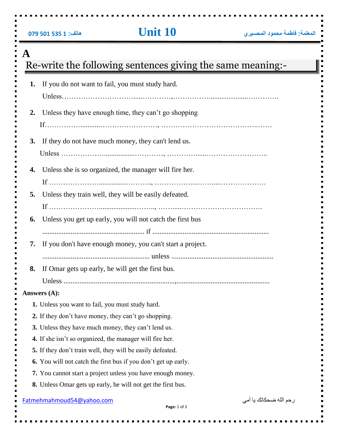|  |  |  |  | 079 501 535 1 079 |
|--|--|--|--|-------------------|
|--|--|--|--|-------------------|

|                                                              | Re-write the following sentences giving the same meaning:-            |  |  |  |  |
|--------------------------------------------------------------|-----------------------------------------------------------------------|--|--|--|--|
| 1.                                                           | If you do not want to fail, you must study hard.                      |  |  |  |  |
| 2.                                                           | Unless they have enough time, they can't go shopping                  |  |  |  |  |
| <b>3.</b>                                                    | If they do not have much money, they can't lend us.                   |  |  |  |  |
| 4.                                                           | Unless she is so organized, the manager will fire her.                |  |  |  |  |
| 5.                                                           | Unless they train well, they will be easily defeated.                 |  |  |  |  |
| 6.                                                           | Unless you get up early, you will not catch the first bus             |  |  |  |  |
| 7.                                                           | If you don't have enough money, you can't start a project.            |  |  |  |  |
|                                                              |                                                                       |  |  |  |  |
| 8.                                                           | If Omar gets up early, he will get the first bus.                     |  |  |  |  |
|                                                              |                                                                       |  |  |  |  |
|                                                              | Answers (A):<br>1. Unless you want to fail, you must study hard.      |  |  |  |  |
|                                                              | 2. If they don't have money, they can't go shopping.                  |  |  |  |  |
|                                                              | 3. Unless they have much money, they can't lend us.                   |  |  |  |  |
|                                                              | 4. If she isn't so organized, the manager will fire her.              |  |  |  |  |
|                                                              | 5. If they don't train well, they will be easily defeated.            |  |  |  |  |
|                                                              | <b>6.</b> You will not catch the first bus if you don't get up early. |  |  |  |  |
|                                                              | 7. You cannot start a project unless you have enough money.           |  |  |  |  |
| 8. Unless Omar gets up early, he will not get the first bus. |                                                                       |  |  |  |  |
|                                                              | رحم الله ضحكاتك يا أمي<br>Fatmehmahmoud54@yahoo.com<br>Page: 1 of 3   |  |  |  |  |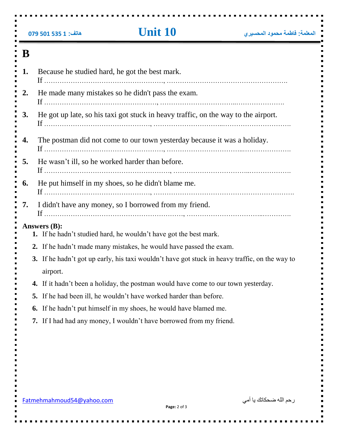|    | 079 501 535 1 079         | <b>Unit 10</b>                                                                                 | المعلمة: فاطمة محمود المحسيري |
|----|---------------------------|------------------------------------------------------------------------------------------------|-------------------------------|
| B  |                           |                                                                                                |                               |
| 1. |                           | Because he studied hard, he got the best mark.                                                 |                               |
| 2. |                           | He made many mistakes so he didn't pass the exam.                                              |                               |
| 3. |                           | He got up late, so his taxi got stuck in heavy traffic, on the way to the airport.             |                               |
| 4. |                           | The postman did not come to our town yesterday because it was a holiday.                       |                               |
| 5. |                           | He wasn't ill, so he worked harder than before.                                                |                               |
| 6. |                           | He put himself in my shoes, so he didn't blame me.                                             |                               |
| 7. |                           | I didn't have any money, so I borrowed from my friend.                                         |                               |
|    | Answers (B):              | 1. If he hadn't studied hard, he wouldn't have got the best mark.                              |                               |
|    |                           | 2. If he hadn't made many mistakes, he would have passed the exam.                             |                               |
|    | airport.                  | 3. If he hadn't got up early, his taxi wouldn't have got stuck in heavy traffic, on the way to |                               |
|    | 4.                        | If it hadn't been a holiday, the postman would have come to our town yesterday.                |                               |
|    | 5.                        | If he had been ill, he wouldn't have worked harder than before.                                |                               |
|    | 6.                        | If he hadn't put himself in my shoes, he would have blamed me.                                 |                               |
|    |                           | 7. If I had had any money, I wouldn't have borrowed from my friend.                            |                               |
|    |                           |                                                                                                |                               |
|    | Fatmehmahmoud54@yahoo.com |                                                                                                | ر حم الله ضحكاتك يا أمي       |

 $\blacksquare$ 

 $\blacksquare$ 

 $\blacksquare$ 

 $\blacksquare$ 

 $\blacksquare$ 

 $\blacksquare$